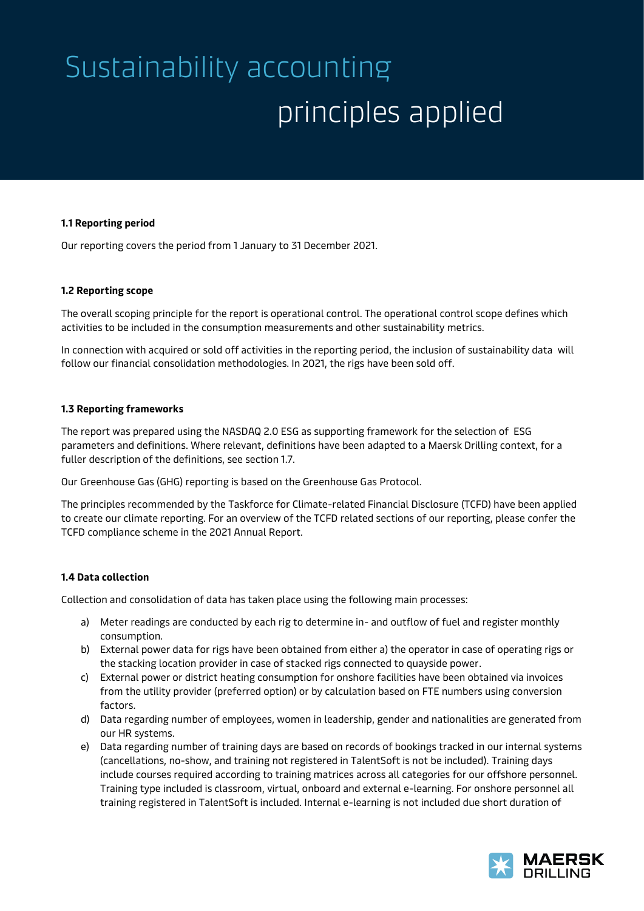# Sustainability accounting principles applied

#### **1.1 Reporting period**

Our reporting covers the period from 1 January to 31 December 2021.

### **1.2 Reporting scope**

The overall scoping principle for the report is operational control. The operational control scope defines which activities to be included in the consumption measurements and other sustainability metrics.

In connection with acquired or sold off activities in the reporting period, the inclusion of sustainability data will follow our financial consolidation methodologies. In 2021, the rigs have been sold off.

### **1.3 Reporting frameworks**

The report was prepared using the NASDAQ 2.0 ESG as supporting framework for the selection of ESG parameters and definitions. Where relevant, definitions have been adapted to a Maersk Drilling context, for a fuller description of the definitions, see section 1.7.

Our Greenhouse Gas (GHG) reporting is based on the Greenhouse Gas Protocol.

The principles recommended by the Taskforce for Climate-related Financial Disclosure (TCFD) have been applied to create our climate reporting. For an overview of the TCFD related sections of our reporting, please confer the TCFD compliance scheme in the 2021 Annual Report.

## **1.4 Data collection**

Collection and consolidation of data has taken place using the following main processes:

- a) Meter readings are conducted by each rig to determine in- and outflow of fuel and register monthly consumption.
- b) External power data for rigs have been obtained from either a) the operator in case of operating rigs or the stacking location provider in case of stacked rigs connected to quayside power.
- c) External power or district heating consumption for onshore facilities have been obtained via invoices from the utility provider (preferred option) or by calculation based on FTE numbers using conversion factors.
- d) Data regarding number of employees, women in leadership, gender and nationalities are generated from our HR systems.
- e) Data regarding number of training days are based on records of bookings tracked in our internal systems (cancellations, no-show, and training not registered in TalentSoft is not be included). Training days include courses required according to training matrices across all categories for our offshore personnel. Training type included is classroom, virtual, onboard and external e-learning. For onshore personnel all training registered in TalentSoft is included. Internal e-learning is not included due short duration of

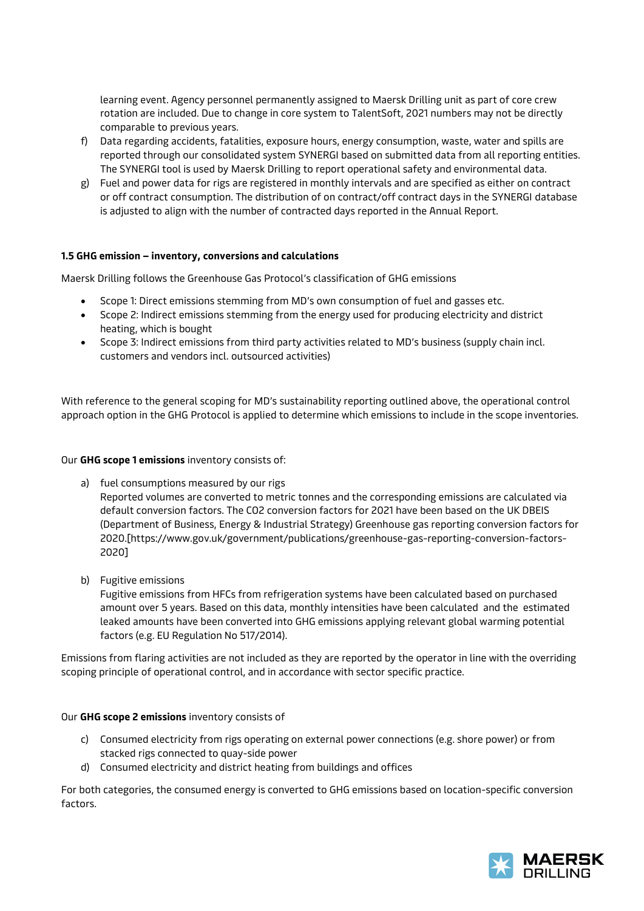learning event. Agency personnel permanently assigned to Maersk Drilling unit as part of core crew rotation are included. Due to change in core system to TalentSoft, 2021 numbers may not be directly comparable to previous years.

- f) Data regarding accidents, fatalities, exposure hours, energy consumption, waste, water and spills are reported through our consolidated system SYNERGI based on submitted data from all reporting entities. The SYNERGI tool is used by Maersk Drilling to report operational safety and environmental data.
- g) Fuel and power data for rigs are registered in monthly intervals and are specified as either on contract or off contract consumption. The distribution of on contract/off contract days in the SYNERGI database is adjusted to align with the number of contracted days reported in the Annual Report.

## **1.5 GHG emission – inventory, conversions and calculations**

Maersk Drilling follows the Greenhouse Gas Protocol's classification of GHG emissions

- Scope 1: Direct emissions stemming from MD's own consumption of fuel and gasses etc.
- Scope 2: Indirect emissions stemming from the energy used for producing electricity and district heating, which is bought
- Scope 3: Indirect emissions from third party activities related to MD's business (supply chain incl. customers and vendors incl. outsourced activities)

With reference to the general scoping for MD's sustainability reporting outlined above, the operational control approach option in the GHG Protocol is applied to determine which emissions to include in the scope inventories.

## Our **GHG scope 1 emissions** inventory consists of:

- a) fuel consumptions measured by our rigs Reported volumes are converted to metric tonnes and the corresponding emissions are calculated via default conversion factors. The CO2 conversion factors for 2021 have been based on the UK DBEIS (Department of Business, Energy & Industrial Strategy) Greenhouse gas reporting conversion factors for 2020.[https://www.gov.uk/government/publications/greenhouse-gas-reporting-conversion-factors-2020]
- b) Fugitive emissions

Fugitive emissions from HFCs from refrigeration systems have been calculated based on purchased amount over 5 years. Based on this data, monthly intensities have been calculated and the estimated leaked amounts have been converted into GHG emissions applying relevant global warming potential factors (e.g. EU Regulation No 517/2014).

Emissions from flaring activities are not included as they are reported by the operator in line with the overriding scoping principle of operational control, and in accordance with sector specific practice.

## Our **GHG scope 2 emissions** inventory consists of

- c) Consumed electricity from rigs operating on external power connections (e.g. shore power) or from stacked rigs connected to quay-side power
- d) Consumed electricity and district heating from buildings and offices

For both categories, the consumed energy is converted to GHG emissions based on location-specific conversion factors.